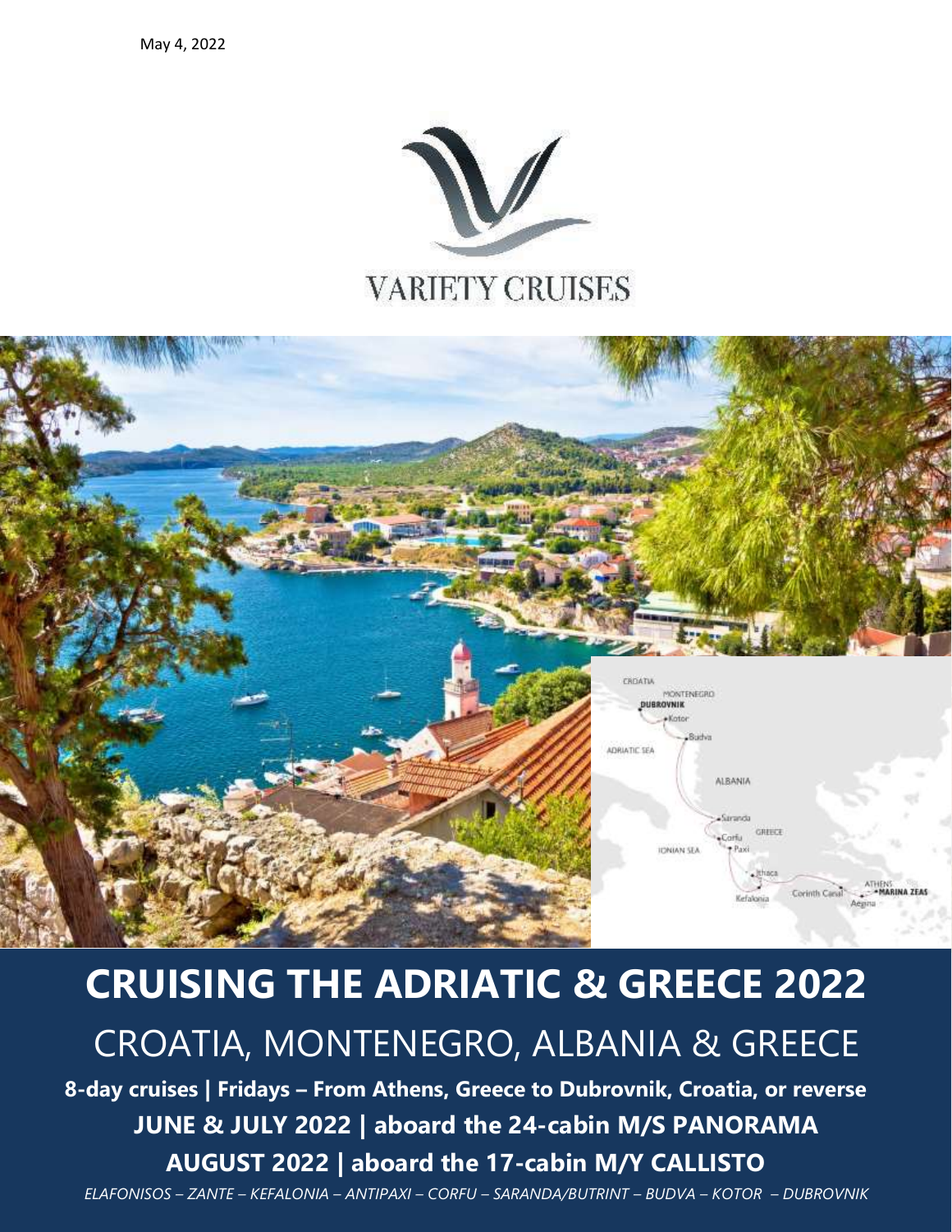



# .<br>ELAFONISOS – ZANTE – KEFALONIA – ANTIPAXI – CORFU – SARANDA/BUTRINT – BUDVA – KOTOR – DUBROVNIK **CRUISING THE ADRIATIC & GREECE 2022** CROATIA, MONTENEGRO, ALBANIA & GREECE **8-day cruises | Fridays – From Athens, Greece to Dubrovnik, Croatia, or reverse JUNE & JULY 2022 | aboard the 24-cabin M/S PANORAMA AUGUST 2022 | aboard the 17-cabin M/Y CALLISTO**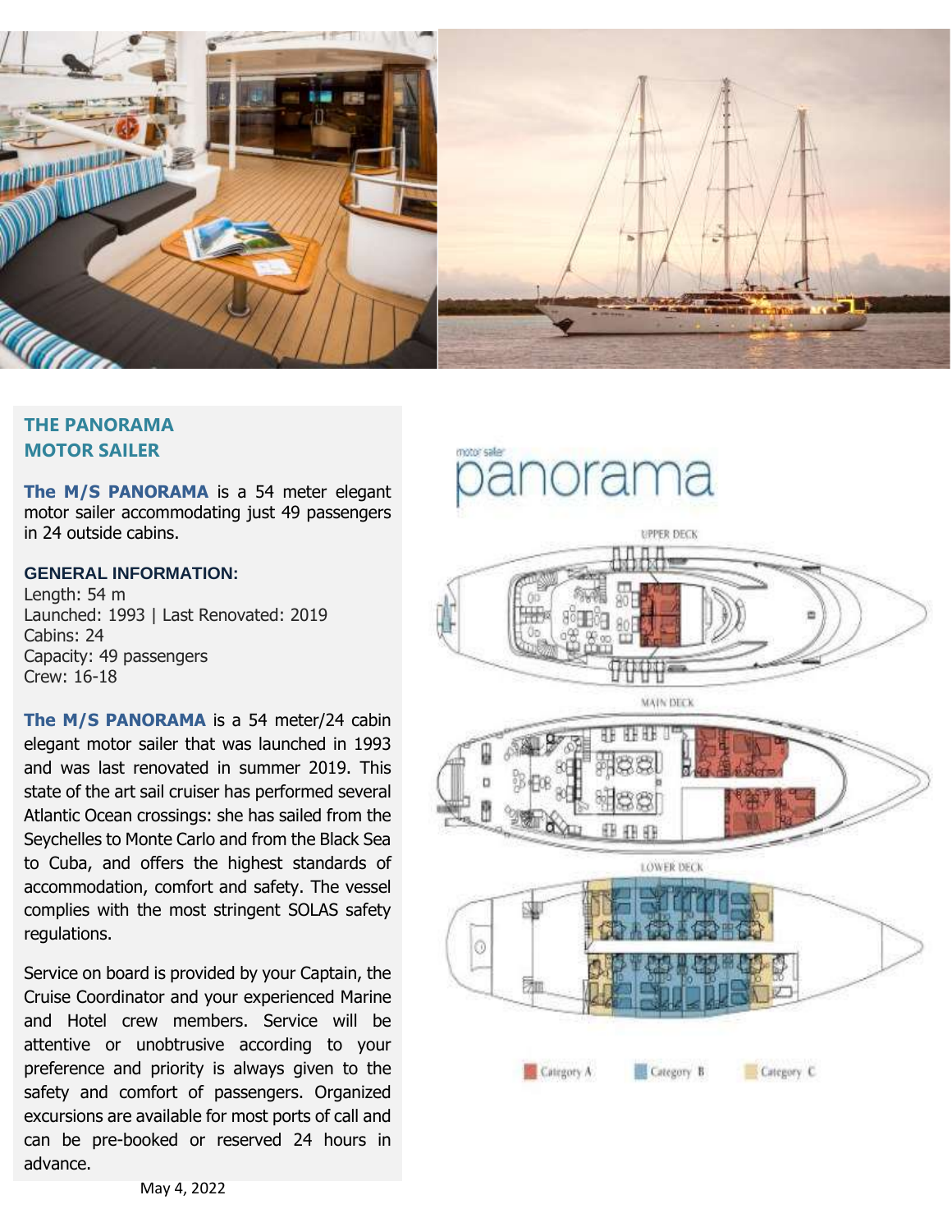

# **THE PANORAMA MOTOR SAILER**

**The M/S PANORAMA** is a 54 meter elegant motor sailer accommodating just 49 passengers in 24 outside cabins.

## **GENERAL INFORMATION:**

Length: 54 m Launched: 1993 | Last Renovated: 2019 Cabins: 24 Capacity: 49 passengers Crew: 16-18

**The M/S PANORAMA** is a 54 meter/24 cabin elegant motor sailer that was launched in 1993 and was last renovated in summer 2019. This state of the art sail cruiser has performed several Atlantic Ocean crossings: she has sailed from the Seychelles to Monte Carlo and from the Black Sea to Cuba, and offers the highest standards of accommodation, comfort and safety. The vessel complies with the most stringent SOLAS safety regulations.

Service on board is provided by your Captain, the Cruise Coordinator and your experienced Marine and Hotel crew members. Service will be attentive or unobtrusive according to your preference and priority is always given to the safety and comfort of passengers. Organized excursions are available for most ports of call and can be pre-booked or reserved 24 hours in advance.

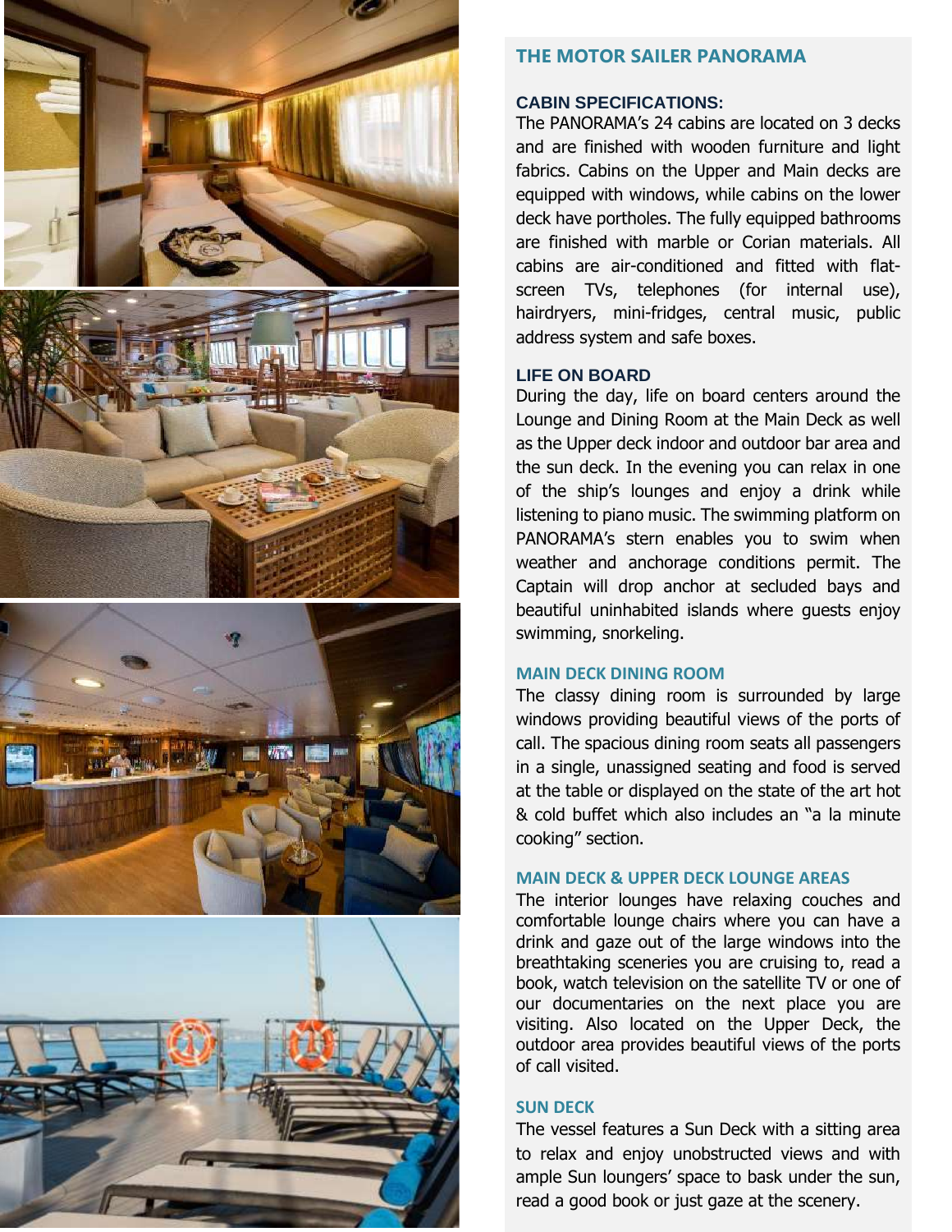

# **THE MOTOR SAILER PANORAMA**

## **CABIN SPECIFICATIONS:**

The PANORAMA's 24 cabins are located on 3 decks and are finished with wooden furniture and light fabrics. Cabins on the Upper and Main decks are equipped with windows , while cabins on the lower deck have portholes. The fully equipped bathrooms are finished with marble or Corian materials. All cabins are air -conditioned and fitted with flat screen TV s, telephone s (for internal use), hairdryer s, mini -fridge s, central music, public address system and safe boxes.

## **LIFE ON BOARD**

During the day, life on board centers around the Lounge and Dining Room at the Main Deck as well as the Upper deck indoor and outdoor bar area and the sun deck. In the evening you can relax in one of the ship's lounges and enjoy a drink while listening to piano music. The swimming platform on PANORAMA's stern enables you to swim when weather and anchorage conditions permit. The Captain will drop anchor at secluded bays and beautiful uninhabited islands where guests enjoy swimming, snorkeling.

## **MAIN DECK DINING ROOM**

The classy dining room is surrounded by large windows providing beautiful views of the ports of call. The spacious dining room seats all passengers in a single, unassigned seating and food is served at the table or displayed on the state of the art hot & cold buffet which also includes a n "a la minute cooking" section.

## **MAIN DECK & UPPER DECK LOUNGE AREAS**

The interior lounge s have relaxing couches and comfortable lounge chairs where you can have a drink and gaze out of the large windows into the breathtaking sceneries you are cruising to, read a book, watch television on the satellite TV or one of our documentaries on the next place you are visiting. Also located on the Upper Deck, the outdoor area provides beautiful views of the ports of call visited.

## **SUN DECK**

The vessel features a Sun Deck with a sitting area to relax and enjoy unobstructed views and with ample Sun loungers' space to bask under the sun, read a good book or just gaze at the scenery.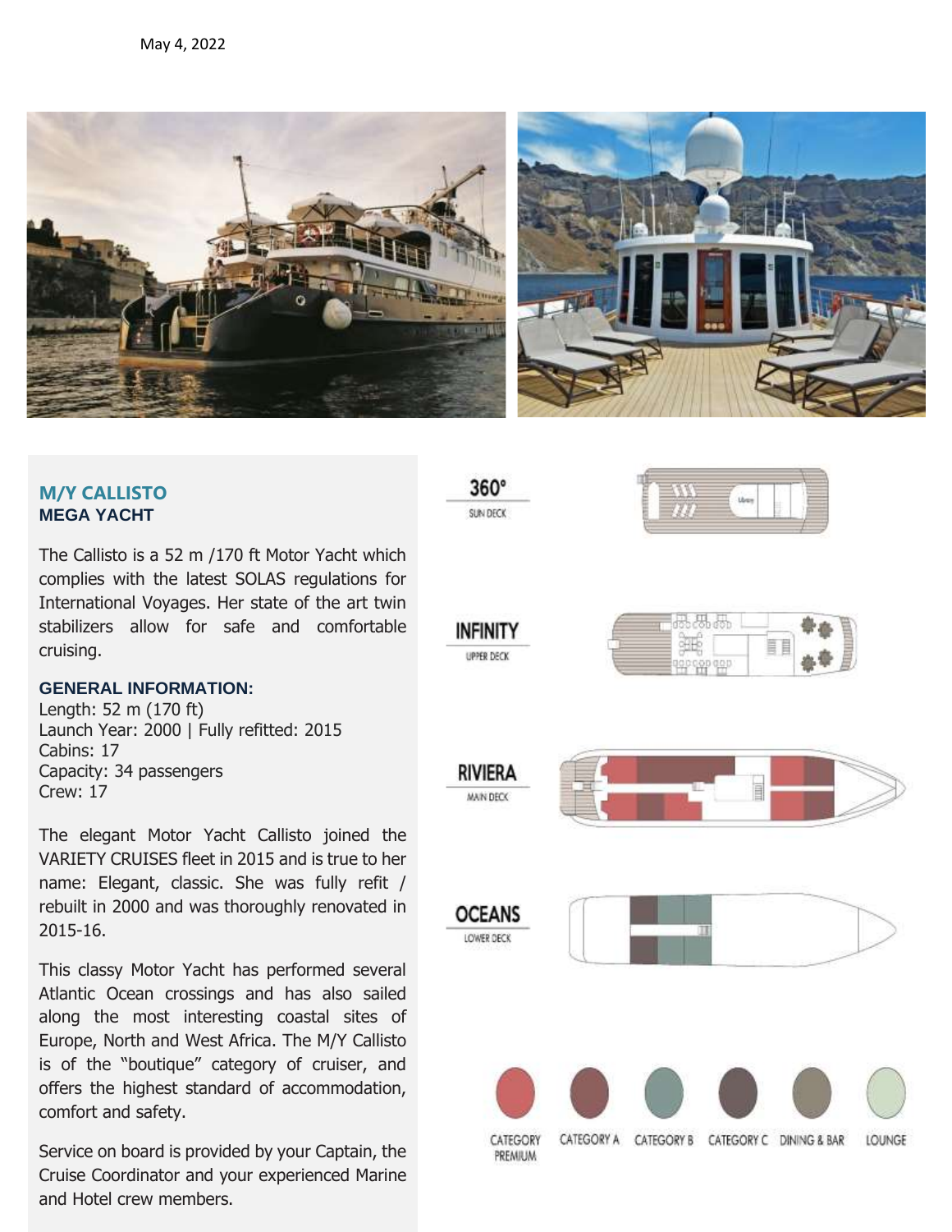



# **M/Y CALLISTO MEGA YACHT**

The Callisto is a 52 m /170 ft Motor Yacht which complies with the latest SOLAS regulations for International Voyages. Her state of the art twin stabilizers allow for safe and comfortable cruising.

# **GENERAL INFORMATION:**

Length: 52 m (170 ft) Launch Year: 2000 | Fully refitted: 2015 Cabins: 17 Capacity: 34 passengers Crew: 17

The elegant Motor Yacht Callisto joined the VARIETY CRUISES fleet in 2015 and is true to her name: Elegant, classic. She was fully refit / rebuilt in 2000 and was thoroughly renovated in 2015-16.

This classy Motor Yacht has performed several Atlantic Ocean crossings and has also sailed along the most interesting coastal sites of Europe, North and West Africa. The M/Y Callisto is of the "boutique" category of cruiser, and offers the highest standard of accommodation, comfort and safety.

and Hotel crew members. Service on board is provided by your Captain, the Cruise Coordinator and your experienced Marine

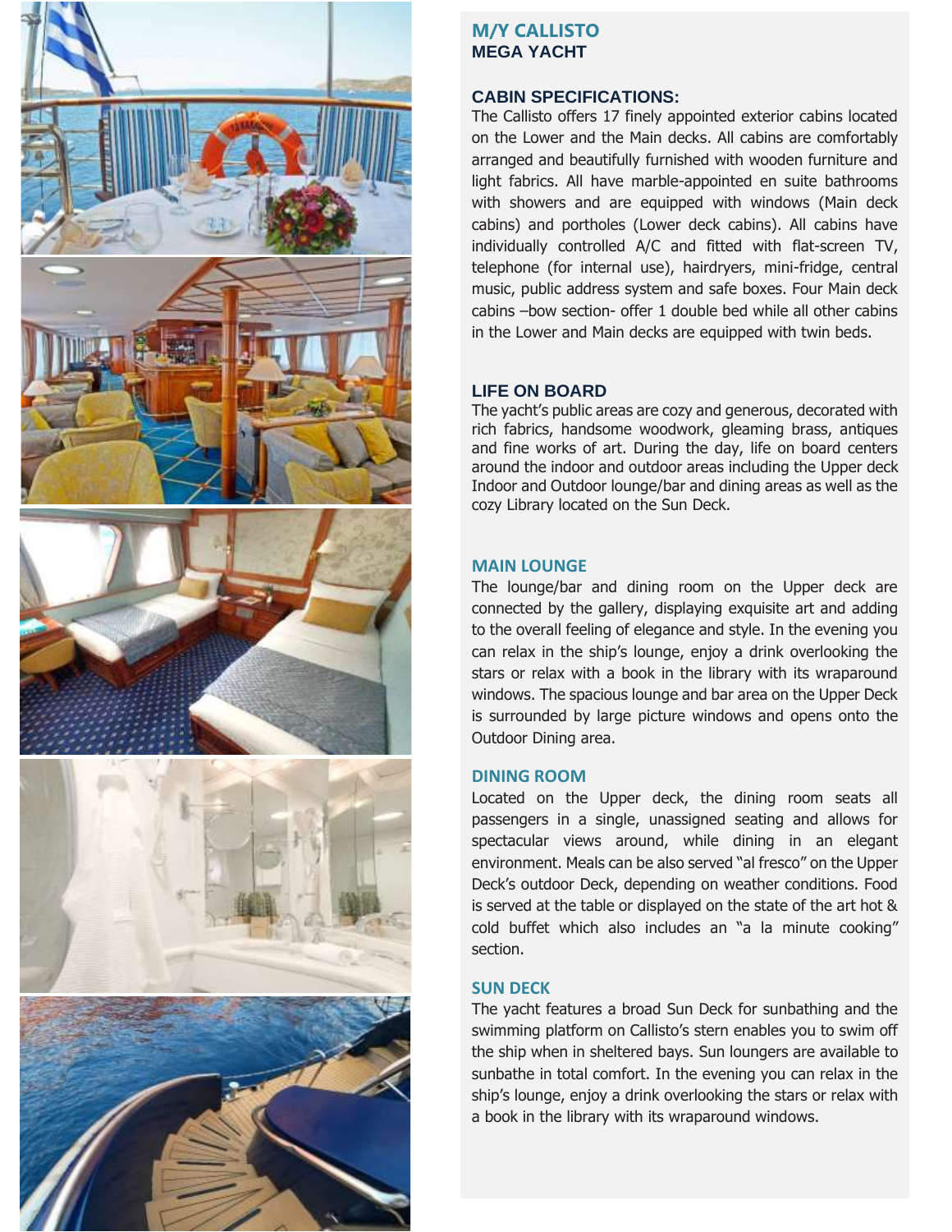

# **M/Y CALLISTO MEGA YACHT**

#### **CABIN SPECIFICATIONS:**

The Callisto offers 17 finely appointed exterior cabins located on the Lower and the Main decks. All cabins are comfortably arranged and beautifully furnished with wooden furniture and light fabrics. All have marble-appointed en suite bathrooms with showers and are equipped with windows (Main deck cabins) and portholes (Lower deck cabins). All cabins have individually controlled A/C and fitted with flat-screen TV, telephone (for internal use), hairdryers, mini-fridge, central music, public address system and safe boxes. Four Main deck cabins –bow section- offer 1 double bed while all other cabins in the Lower and Main decks are equipped with twin beds.

## **LIFE ON BOARD**

The yacht's public areas are cozy and generous, decorated with rich fabrics, handsome woodwork, gleaming brass, antiques and fine works of art. During the day, life on board centers around the indoor and outdoor areas including the Upper deck Indoor and Outdoor lounge/bar and dining areas as well as the cozy Library located on the Sun Deck.

## **MAIN LOUNGE**

The lounge/bar and dining room on the Upper deck are connected by the gallery, displaying exquisite art and adding to the overall feeling of elegance and style. In the evening you can relax in the ship's lounge, enjoy a drink overlooking the stars or relax with a book in the library with its wraparound windows. The spacious lounge and bar area on the Upper Deck is surrounded by large picture windows and opens onto the Outdoor Dining area.

## **DINING ROOM**

Located on the Upper deck, the dining room seats all passengers in a single, unassigned seating and allows for spectacular views around, while dining in an elegant environment. Meals can be also served "al fresco" on the Upper Deck's outdoor Deck, depending on weather conditions. Food is served at the table or displayed on the state of the art hot & cold buffet which also includes an "a la minute cooking" section.

## **SUN DECK**

The yacht features a broad Sun Deck for sunbathing and the swimming platform on Callisto's stern enables you to swim off the ship when in sheltered bays. Sun loungers are available to sunbathe in total comfort. In the evening you can relax in the ship's lounge, enjoy a drink overlooking the stars or relax with a book in the library with its wraparound windows.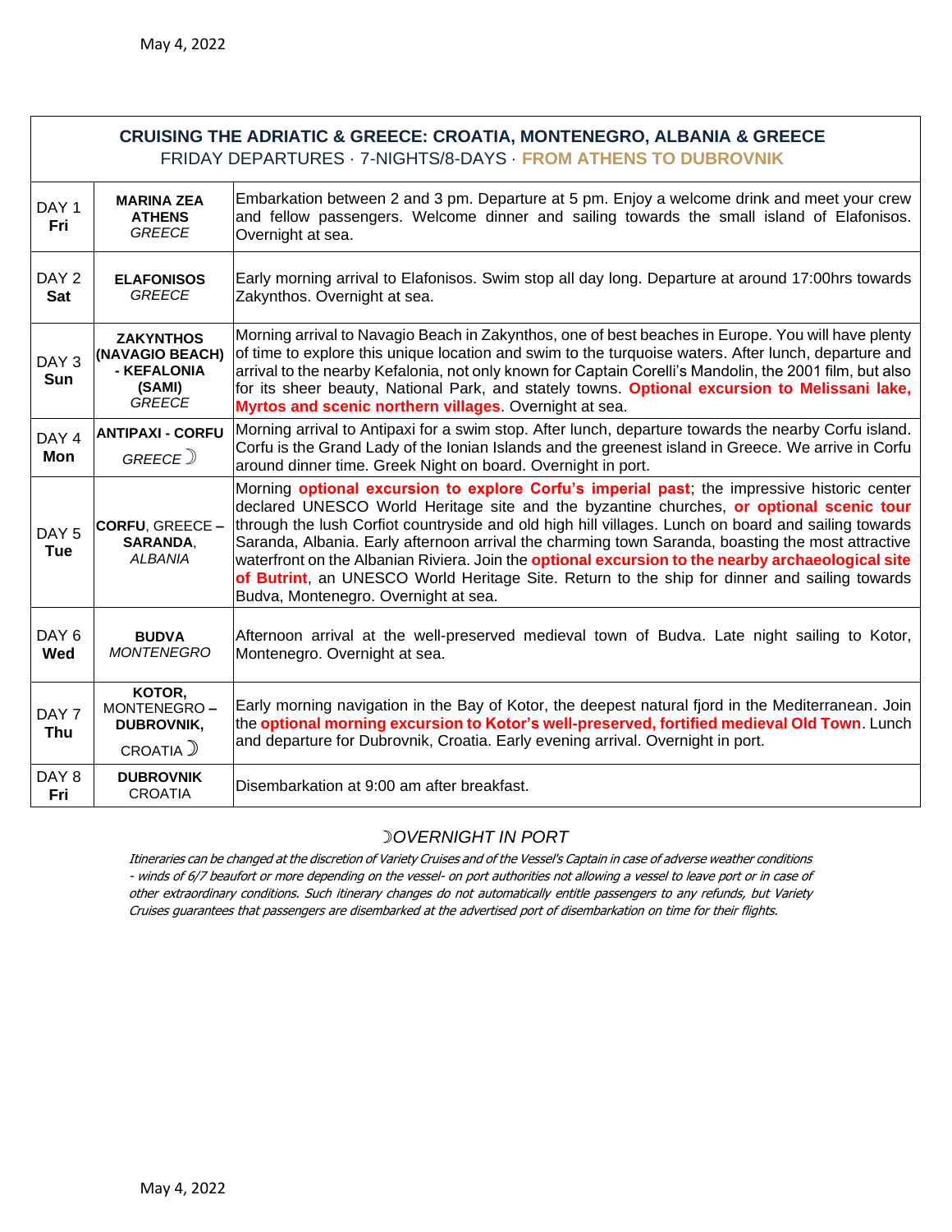| <b>CRUISING THE ADRIATIC &amp; GREECE: CROATIA, MONTENEGRO, ALBANIA &amp; GREECE</b><br>FRIDAY DEPARTURES · 7-NIGHTS/8-DAYS · FROM ATHENS TO DUBROVNIK |                                                                               |                                                                                                                                                                                                                                                                                                                                                                                                                                                                                                                                                                                                                                                        |  |  |
|--------------------------------------------------------------------------------------------------------------------------------------------------------|-------------------------------------------------------------------------------|--------------------------------------------------------------------------------------------------------------------------------------------------------------------------------------------------------------------------------------------------------------------------------------------------------------------------------------------------------------------------------------------------------------------------------------------------------------------------------------------------------------------------------------------------------------------------------------------------------------------------------------------------------|--|--|
| DAY <sub>1</sub><br>Fri                                                                                                                                | <b>MARINA ZEA</b><br><b>ATHENS</b><br><b>GREECE</b>                           | Embarkation between 2 and 3 pm. Departure at 5 pm. Enjoy a welcome drink and meet your crew<br>and fellow passengers. Welcome dinner and sailing towards the small island of Elafonisos.<br>Overnight at sea.                                                                                                                                                                                                                                                                                                                                                                                                                                          |  |  |
| DAY <sub>2</sub><br><b>Sat</b>                                                                                                                         | <b>ELAFONISOS</b><br><b>GREECE</b>                                            | Early morning arrival to Elafonisos. Swim stop all day long. Departure at around 17:00hrs towards<br>Zakynthos. Overnight at sea.                                                                                                                                                                                                                                                                                                                                                                                                                                                                                                                      |  |  |
| DAY <sub>3</sub><br>Sun                                                                                                                                | <b>ZAKYNTHOS</b><br>(NAVAGIO BEACH)<br>- KEFALONIA<br>(SAMI)<br><b>GREECE</b> | Morning arrival to Navagio Beach in Zakynthos, one of best beaches in Europe. You will have plenty<br>of time to explore this unique location and swim to the turquoise waters. After lunch, departure and<br>arrival to the nearby Kefalonia, not only known for Captain Corelli's Mandolin, the 2001 film, but also<br>for its sheer beauty, National Park, and stately towns. Optional excursion to Melissani lake,<br>Myrtos and scenic northern villages. Overnight at sea.                                                                                                                                                                       |  |  |
| DAY 4<br>Mon                                                                                                                                           | <b>ANTIPAXI - CORFU</b><br>GREECE <sup>)</sup>                                | Morning arrival to Antipaxi for a swim stop. After lunch, departure towards the nearby Corfu island.<br>Corfu is the Grand Lady of the Ionian Islands and the greenest island in Greece. We arrive in Corfu<br>around dinner time. Greek Night on board. Overnight in port.                                                                                                                                                                                                                                                                                                                                                                            |  |  |
| DAY <sub>5</sub><br><b>Tue</b>                                                                                                                         | <b>CORFU, GREECE -</b><br>SARANDA,<br><b>ALBANIA</b>                          | Morning optional excursion to explore Corfu's imperial past; the impressive historic center<br>declared UNESCO World Heritage site and the byzantine churches, or optional scenic tour<br>through the lush Corfiot countryside and old high hill villages. Lunch on board and sailing towards<br>Saranda, Albania. Early afternoon arrival the charming town Saranda, boasting the most attractive<br>waterfront on the Albanian Riviera. Join the <b>optional excursion to the nearby archaeological site</b><br>of Butrint, an UNESCO World Heritage Site. Return to the ship for dinner and sailing towards<br>Budva, Montenegro. Overnight at sea. |  |  |
| DAY <sub>6</sub><br><b>Wed</b>                                                                                                                         | <b>BUDVA</b><br><b>MONTENEGRO</b>                                             | Afternoon arrival at the well-preserved medieval town of Budva. Late night sailing to Kotor,<br>Montenegro. Overnight at sea.                                                                                                                                                                                                                                                                                                                                                                                                                                                                                                                          |  |  |
| DAY <sub>7</sub><br><b>Thu</b>                                                                                                                         | KOTOR,<br>MONTENEGRO-<br><b>DUBROVNIK,</b><br>CROATIA)                        | Early morning navigation in the Bay of Kotor, the deepest natural fjord in the Mediterranean. Join<br>the optional morning excursion to Kotor's well-preserved, fortified medieval Old Town. Lunch<br>and departure for Dubrovnik, Croatia. Early evening arrival. Overnight in port.                                                                                                                                                                                                                                                                                                                                                                  |  |  |
| DAY 8<br>Fri                                                                                                                                           | <b>DUBROVNIK</b><br><b>CROATIA</b>                                            | Disembarkation at 9:00 am after breakfast.                                                                                                                                                                                                                                                                                                                                                                                                                                                                                                                                                                                                             |  |  |

## ☽*OVERNIGHT IN PORT*

Itineraries can be changed at the discretion of Variety Cruises and of the Vessel's Captain in case of adverse weather conditions - winds of 6/7 beaufort or more depending on the vessel- on port authorities not allowing a vessel to leave port or in case of other extraordinary conditions. Such itinerary changes do not automatically entitle passengers to any refunds, but Variety Cruises guarantees that passengers are disembarked at the advertised port of disembarkation on time for their flights.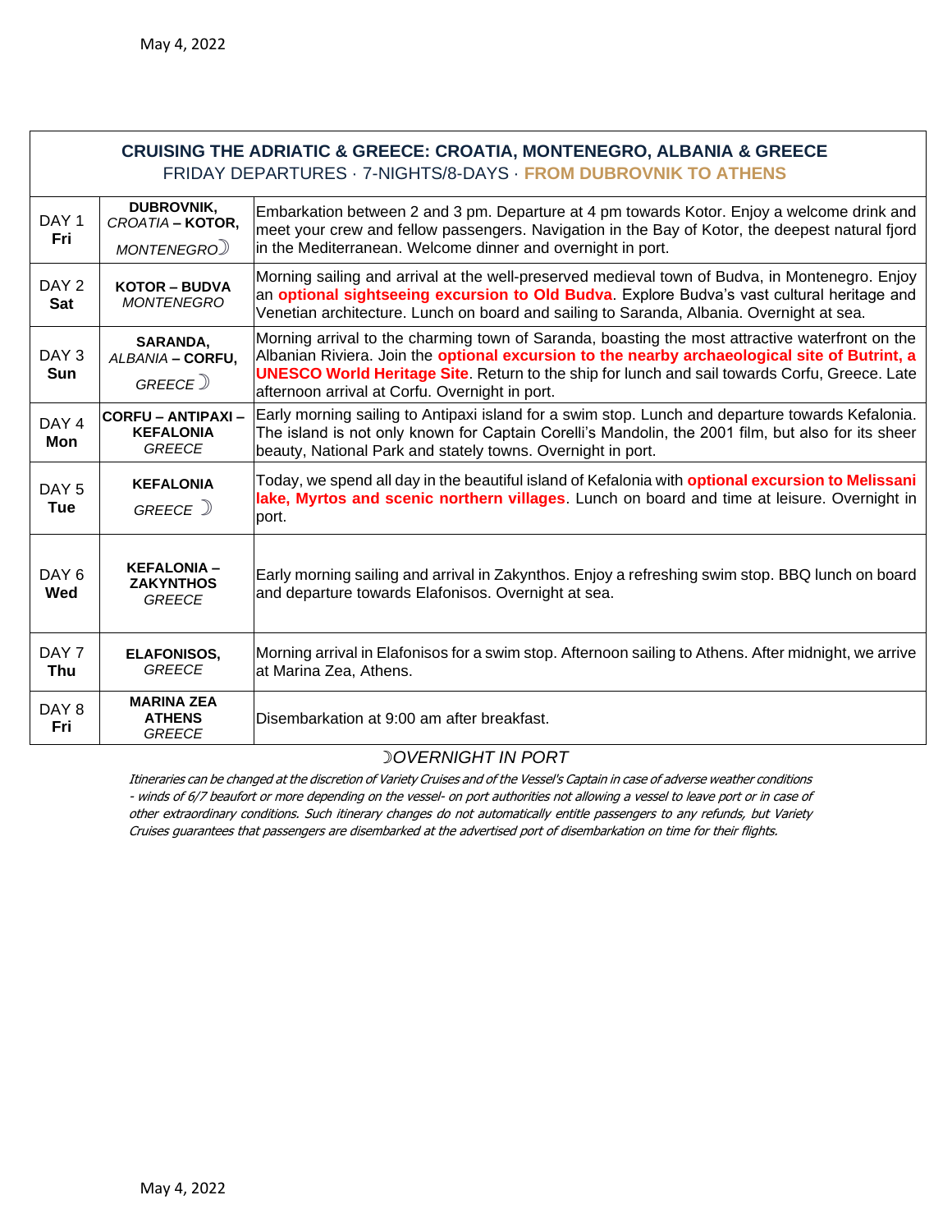| <b>CRUISING THE ADRIATIC &amp; GREECE: CROATIA, MONTENEGRO, ALBANIA &amp; GREECE</b><br>FRIDAY DEPARTURES · 7-NIGHTS/8-DAYS · FROM DUBROVNIK TO ATHENS |                                                                |                                                                                                                                                                                                                                                                                                                                                            |  |  |
|--------------------------------------------------------------------------------------------------------------------------------------------------------|----------------------------------------------------------------|------------------------------------------------------------------------------------------------------------------------------------------------------------------------------------------------------------------------------------------------------------------------------------------------------------------------------------------------------------|--|--|
| DAY <sub>1</sub><br>Fri                                                                                                                                | <b>DUBROVNIK,</b><br>CROATIA - KOTOR,<br>MONTENEGRO)           | Embarkation between 2 and 3 pm. Departure at 4 pm towards Kotor. Enjoy a welcome drink and<br>meet your crew and fellow passengers. Navigation in the Bay of Kotor, the deepest natural fjord<br>in the Mediterranean. Welcome dinner and overnight in port.                                                                                               |  |  |
| DAY <sub>2</sub><br><b>Sat</b>                                                                                                                         | <b>KOTOR - BUDVA</b><br><b>MONTENEGRO</b>                      | Morning sailing and arrival at the well-preserved medieval town of Budva, in Montenegro. Enjoy<br>an optional sightseeing excursion to Old Budva. Explore Budva's vast cultural heritage and<br>Venetian architecture. Lunch on board and sailing to Saranda, Albania. Overnight at sea.                                                                   |  |  |
| DAY <sub>3</sub><br><b>Sun</b>                                                                                                                         | SARANDA,<br>ALBANIA - CORFU,<br>GREECE <sup>)</sup>            | Morning arrival to the charming town of Saranda, boasting the most attractive waterfront on the<br>Albanian Riviera. Join the optional excursion to the nearby archaeological site of Butrint, a<br><b>UNESCO World Heritage Site.</b> Return to the ship for lunch and sail towards Corfu, Greece. Late<br>afternoon arrival at Corfu. Overnight in port. |  |  |
| DAY <sub>4</sub><br>Mon                                                                                                                                | <b>CORFU - ANTIPAXI -</b><br><b>KEFALONIA</b><br><b>GREECE</b> | Early morning sailing to Antipaxi island for a swim stop. Lunch and departure towards Kefalonia.<br>The island is not only known for Captain Corelli's Mandolin, the 2001 film, but also for its sheer<br>beauty, National Park and stately towns. Overnight in port.                                                                                      |  |  |
| DAY <sub>5</sub><br>Tue                                                                                                                                | <b>KEFALONIA</b><br>GREECE )                                   | Today, we spend all day in the beautiful island of Kefalonia with <b>optional excursion to Melissani</b><br>lake, Myrtos and scenic northern villages. Lunch on board and time at leisure. Overnight in<br>port.                                                                                                                                           |  |  |
| DAY <sub>6</sub><br>Wed                                                                                                                                | <b>KEFALONIA -</b><br><b>ZAKYNTHOS</b><br><b>GREECE</b>        | Early morning sailing and arrival in Zakynthos. Enjoy a refreshing swim stop. BBQ lunch on board<br>and departure towards Elafonisos. Overnight at sea.                                                                                                                                                                                                    |  |  |
| DAY 7<br>Thu                                                                                                                                           | <b>ELAFONISOS,</b><br><b>GREECE</b>                            | Morning arrival in Elafonisos for a swim stop. Afternoon sailing to Athens. After midnight, we arrive<br>at Marina Zea, Athens.                                                                                                                                                                                                                            |  |  |
| DAY <sub>8</sub><br>Fri                                                                                                                                | <b>MARINA ZEA</b><br><b>ATHENS</b><br><b>GREECE</b>            | Disembarkation at 9:00 am after breakfast.                                                                                                                                                                                                                                                                                                                 |  |  |

## ☽*OVERNIGHT IN PORT*

Itineraries can be changed at the discretion of Variety Cruises and of the Vessel's Captain in case of adverse weather conditions - winds of 6/7 beaufort or more depending on the vessel- on port authorities not allowing a vessel to leave port or in case of other extraordinary conditions. Such itinerary changes do not automatically entitle passengers to any refunds, but Variety Cruises guarantees that passengers are disembarked at the advertised port of disembarkation on time for their flights.